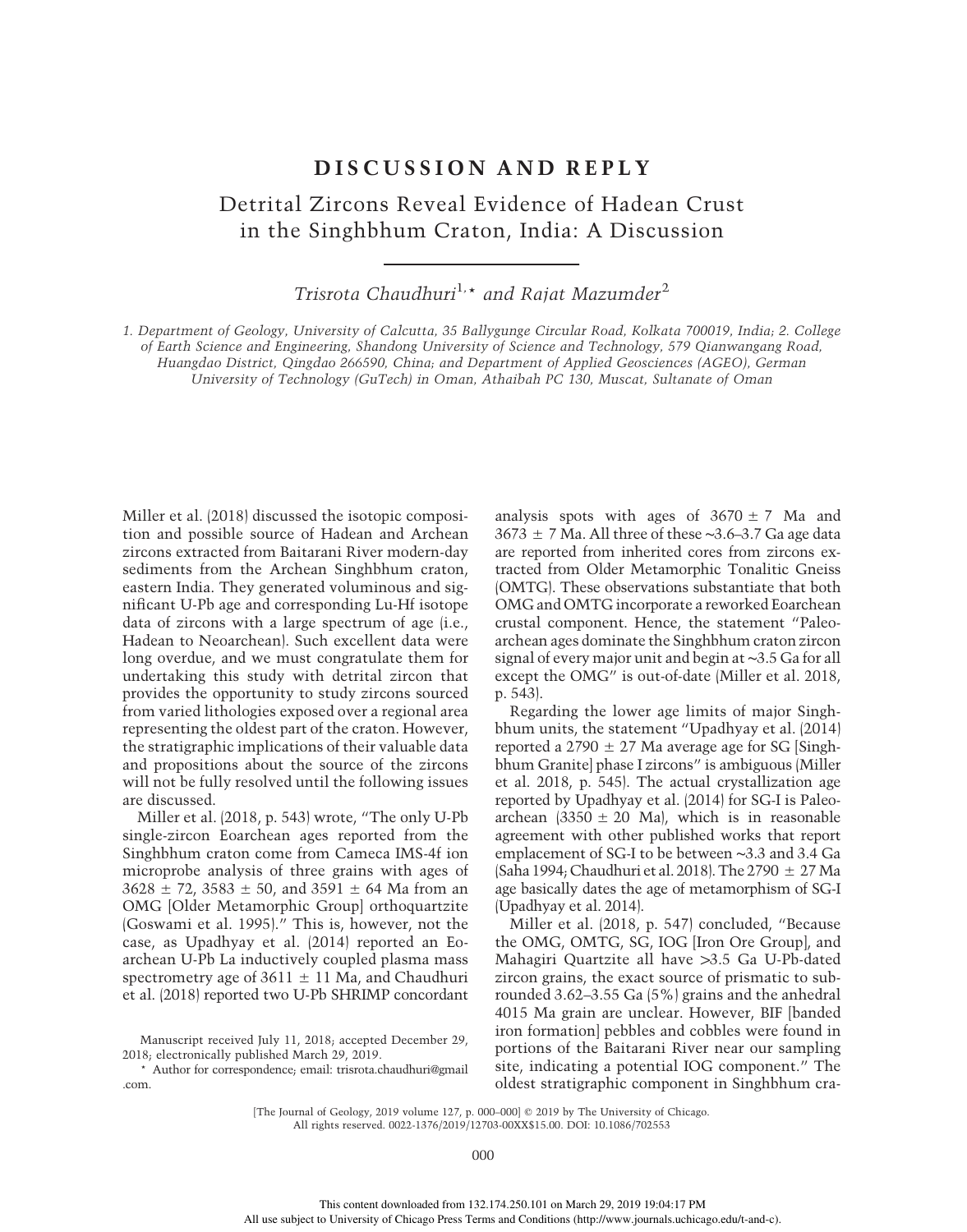## DISCUSSION AND REPLY

Detrital Zircons Reveal Evidence of Hadean Crust in the Singhbhum Craton, India: A Discussion

Trisrota Chaudhuri<sup>1,\*</sup> and Rajat Mazumder<sup>2</sup>

1. Department of Geology, University of Calcutta, 35 Ballygunge Circular Road, Kolkata 700019, India; 2. College of Earth Science and Engineering, Shandong University of Science and Technology, 579 Qianwangang Road, Huangdao District, Qingdao 266590, China; and Department of Applied Geosciences (AGEO), German University of Technology (GuTech) in Oman, Athaibah PC 130, Muscat, Sultanate of Oman

Miller et al. (2018) discussed the isotopic composition and possible source of Hadean and Archean zircons extracted from Baitarani River modern-day sediments from the Archean Singhbhum craton, eastern India. They generated voluminous and significant U-Pb age and corresponding Lu-Hf isotope data of zircons with a large spectrum of age (i.e., Hadean to Neoarchean). Such excellent data were long overdue, and we must congratulate them for undertaking this study with detrital zircon that provides the opportunity to study zircons sourced from varied lithologies exposed over a regional area representing the oldest part of the craton. However, the stratigraphic implications of their valuable data and propositions about the source of the zircons will not be fully resolved until the following issues are discussed.

Miller et al. (2018, p. 543) wrote, "The only U-Pb single-zircon Eoarchean ages reported from the Singhbhum craton come from Cameca IMS-4f ion microprobe analysis of three grains with ages of  $3628 \pm 72$ ,  $3583 \pm 50$ , and  $3591 \pm 64$  Ma from an OMG [Older Metamorphic Group] orthoquartzite (Goswami et al. 1995)." This is, however, not the case, as Upadhyay et al. (2014) reported an Eoarchean U-Pb La inductively coupled plasma mass spectrometry age of  $3611 \pm 11$  Ma, and Chaudhuri et al. (2018) reported two U-Pb SHRIMP concordant

Manuscript received July 11, 2018; accepted December 29, 2018; electronically published March 29, 2019.

\* Author for correspondence; email: trisrota.chaudhuri@gmail .com.

analysis spots with ages of  $3670 \pm 7$  Ma and  $3673 \pm 7$  Ma. All three of these ~3.6–3.7 Ga age data are reported from inherited cores from zircons extracted from Older Metamorphic Tonalitic Gneiss (OMTG). These observations substantiate that both OMG and OMTG incorporate a reworked Eoarchean crustal component. Hence, the statement "Paleoarchean ages dominate the Singhbhum craton zircon signal of every major unit and begin at ∼3.5 Ga for all except the OMG" is out-of-date (Miller et al. 2018, p. 543).

Regarding the lower age limits of major Singhbhum units, the statement "Upadhyay et al. (2014) reported a 2790  $\pm$  27 Ma average age for SG [Singhbhum Granite] phase I zircons" is ambiguous (Miller et al. 2018, p. 545). The actual crystallization age reported by Upadhyay et al. (2014) for SG-I is Paleoarchean (3350  $\pm$  20 Ma), which is in reasonable agreement with other published works that report emplacement of SG-I to be between ∼3.3 and 3.4 Ga (Saha 1994; Chaudhuri et al. 2018). The 2790  $\pm$  27 Ma age basically dates the age of metamorphism of SG-I (Upadhyay et al. 2014).

Miller et al. (2018, p. 547) concluded, "Because the OMG, OMTG, SG, IOG [Iron Ore Group], and Mahagiri Quartzite all have 13.5 Ga U-Pb-dated zircon grains, the exact source of prismatic to subrounded 3.62–3.55 Ga (5%) grains and the anhedral 4015 Ma grain are unclear. However, BIF [banded iron formation] pebbles and cobbles were found in portions of the Baitarani River near our sampling site, indicating a potential IOG component." The oldest stratigraphic component in Singhbhum cra-

[The Journal of Geology, 2019 volume 127, p. 000-000] @ 2019 by The University of Chicago. All rights reserved. 0022-1376/2019/12703-00XX\$15.00. DOI: 10.1086/702553

000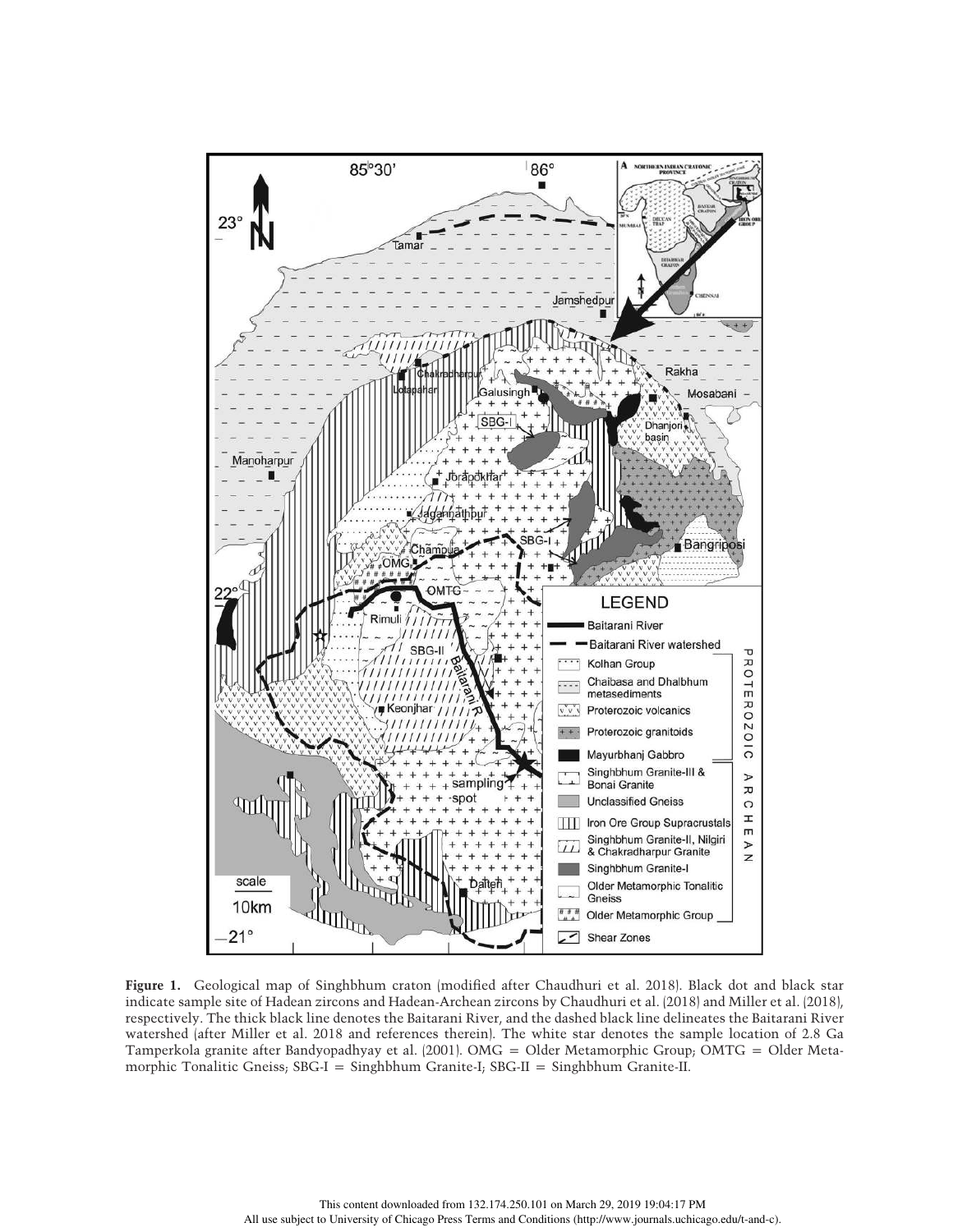

Figure 1. Geological map of Singhbhum craton (modified after Chaudhuri et al. 2018). Black dot and black star indicate sample site of Hadean zircons and Hadean-Archean zircons by Chaudhuri et al. (2018) and Miller et al. (2018), respectively. The thick black line denotes the Baitarani River, and the dashed black line delineates the Baitarani River watershed (after Miller et al. 2018 and references therein). The white star denotes the sample location of 2.8 Ga Tamperkola granite after Bandyopadhyay et al. (2001). OMG = Older Metamorphic Group; OMTG = Older Metamorphic Tonalitic Gneiss; SBG-I = Singhbhum Granite-I; SBG-II = Singhbhum Granite-II.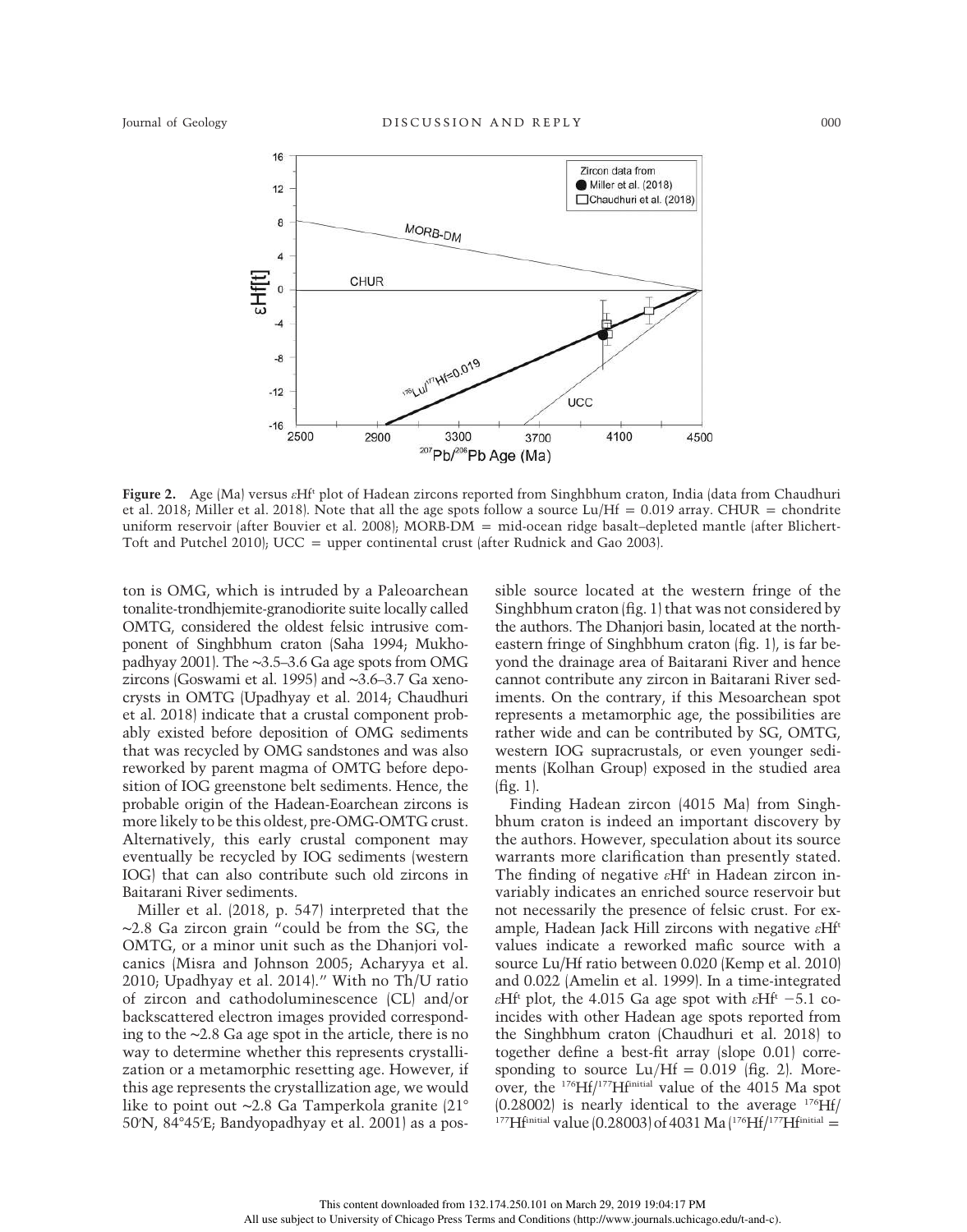

Figure 2. Age (Ma) versus εHf<sup>t</sup> plot of Hadean zircons reported from Singhbhum craton, India (data from Chaudhuri et al. 2018; Miller et al. 2018). Note that all the age spots follow a source Lu/Hf = 0.019 array. CHUR = chondrite uniform reservoir (after Bouvier et al. 2008); MORB-DM = mid-ocean ridge basalt–depleted mantle (after Blichert-Toft and Putchel 2010); UCC = upper continental crust (after Rudnick and Gao 2003).

ton is OMG, which is intruded by a Paleoarchean tonalite-trondhjemite-granodiorite suite locally called OMTG, considered the oldest felsic intrusive component of Singhbhum craton (Saha 1994; Mukhopadhyay 2001). The ∼3.5–3.6 Ga age spots from OMG zircons (Goswami et al. 1995) and ∼3.6–3.7 Ga xenocrysts in OMTG (Upadhyay et al. 2014; Chaudhuri et al. 2018) indicate that a crustal component probably existed before deposition of OMG sediments that was recycled by OMG sandstones and was also reworked by parent magma of OMTG before deposition of IOG greenstone belt sediments. Hence, the probable origin of the Hadean-Eoarchean zircons is more likely to be this oldest, pre-OMG-OMTG crust. Alternatively, this early crustal component may eventually be recycled by IOG sediments (western IOG) that can also contribute such old zircons in Baitarani River sediments.

Miller et al. (2018, p. 547) interpreted that the ∼2.8 Ga zircon grain "could be from the SG, the OMTG, or a minor unit such as the Dhanjori volcanics (Misra and Johnson 2005; Acharyya et al. 2010; Upadhyay et al. 2014)." With no Th/U ratio of zircon and cathodoluminescence (CL) and/or backscattered electron images provided corresponding to the ∼2.8 Ga age spot in the article, there is no way to determine whether this represents crystallization or a metamorphic resetting age. However, if this age represents the crystallization age, we would like to point out ∼2.8 Ga Tamperkola granite (21° 50'N, 84°45'E; Bandyopadhyay et al. 2001) as a possible source located at the western fringe of the Singhbhum craton (fig. 1) that was not considered by the authors. The Dhanjori basin, located at the northeastern fringe of Singhbhum craton (fig. 1), is far beyond the drainage area of Baitarani River and hence cannot contribute any zircon in Baitarani River sediments. On the contrary, if this Mesoarchean spot represents a metamorphic age, the possibilities are rather wide and can be contributed by SG, OMTG, western IOG supracrustals, or even younger sediments (Kolhan Group) exposed in the studied area (fig. 1).

Finding Hadean zircon (4015 Ma) from Singhbhum craton is indeed an important discovery by the authors. However, speculation about its source warrants more clarification than presently stated. The finding of negative εHf<sup>t</sup> in Hadean zircon invariably indicates an enriched source reservoir but not necessarily the presence of felsic crust. For example, Hadean Jack Hill zircons with negative εHf<sup>t</sup> values indicate a reworked mafic source with a source Lu/Hf ratio between 0.020 (Kemp et al. 2010) and 0.022 (Amelin et al. 1999). In a time-integrated εH<sup>t</sup> plot, the 4.015 Ga age spot with  $\epsilon$ H<sup>t</sup> -5.1 coincides with other Hadean age spots reported from the Singhbhum craton (Chaudhuri et al. 2018) to together define a best-fit array (slope 0.01) corresponding to source  $Lu/Hf = 0.019$  (fig. 2). Moreover, the  $^{176}$ Hf/<sup>177</sup>Hf<sup>initial</sup> value of the 4015 Ma spot  $(0.28002)$  is nearly identical to the average  $176$ Hf/ <sup>177</sup>Hf<sup>initial</sup> value (0.28003) of 4031 Ma (<sup>176</sup>Hf/<sup>177</sup>Hf<sup>initial</sup> =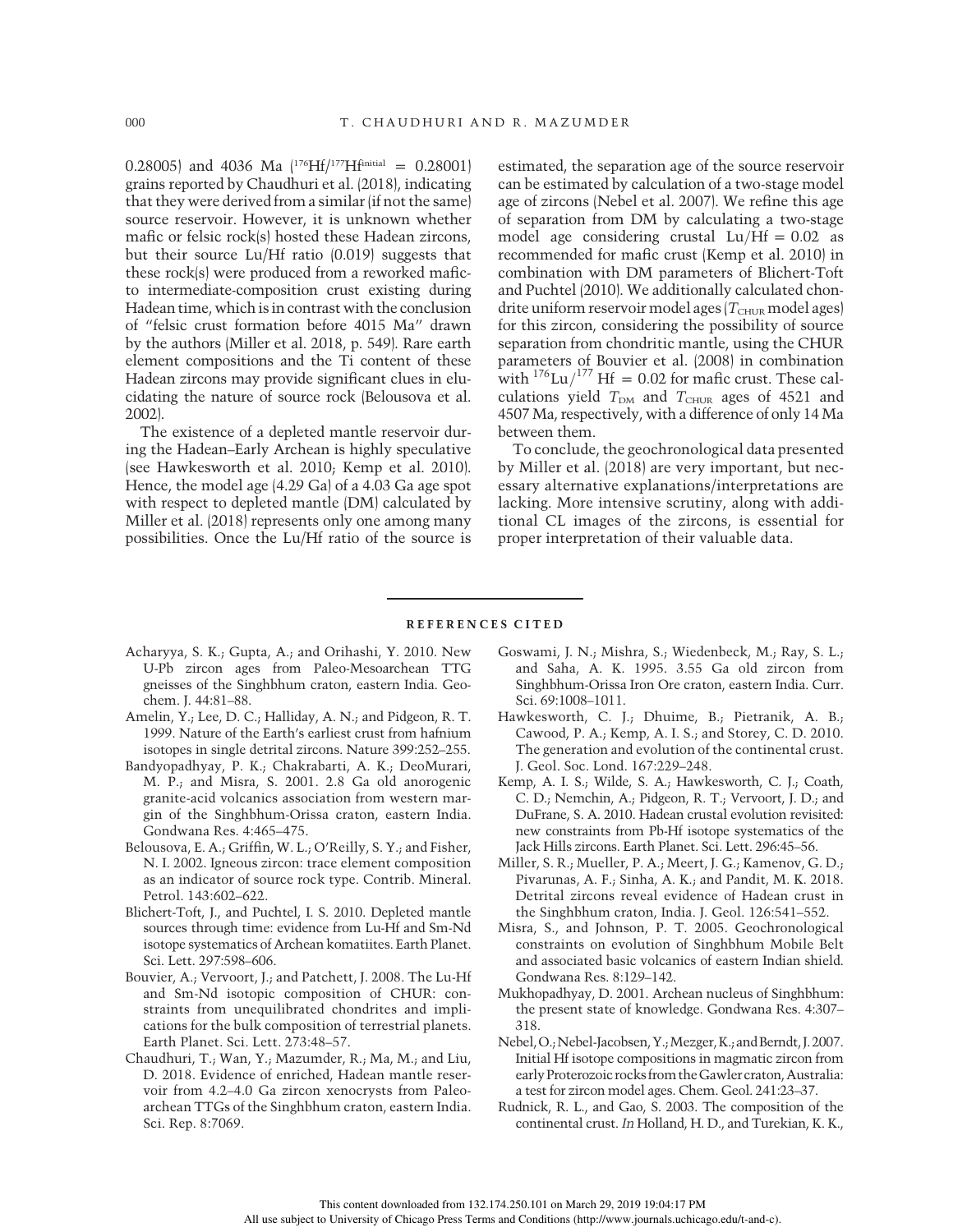0.28005) and 4036 Ma  $(176Hf)^{177}Hf^{initial} = 0.28001$ grains reported by Chaudhuri et al. (2018), indicating that they were derived from a similar (if not the same) source reservoir. However, it is unknown whether mafic or felsic rock(s) hosted these Hadean zircons, but their source Lu/Hf ratio (0.019) suggests that these rock(s) were produced from a reworked maficto intermediate-composition crust existing during Hadean time, which is in contrast with the conclusion of "felsic crust formation before 4015 Ma" drawn by the authors (Miller et al. 2018, p. 549). Rare earth element compositions and the Ti content of these Hadean zircons may provide significant clues in elucidating the nature of source rock (Belousova et al. 2002).

The existence of a depleted mantle reservoir during the Hadean–Early Archean is highly speculative (see Hawkesworth et al. 2010; Kemp et al. 2010). Hence, the model age (4.29 Ga) of a 4.03 Ga age spot with respect to depleted mantle (DM) calculated by Miller et al. (2018) represents only one among many possibilities. Once the Lu/Hf ratio of the source is

estimated, the separation age of the source reservoir can be estimated by calculation of a two-stage model age of zircons (Nebel et al. 2007). We refine this age of separation from DM by calculating a two-stage model age considering crustal  $Lu/Hf = 0.02$  as recommended for mafic crust (Kemp et al. 2010) in combination with DM parameters of Blichert-Toft and Puchtel (2010). We additionally calculated chondrite uniform reservoir model ages ( $T_{\text{CHUR}}$  model ages) for this zircon, considering the possibility of source separation from chondritic mantle, using the CHUR parameters of Bouvier et al. (2008) in combination with  $176$ Lu/ $177$  Hf = 0.02 for mafic crust. These calculations yield  $T_{DM}$  and  $T_{CHUR}$  ages of 4521 and 4507 Ma, respectively, with a difference of only 14 Ma between them.

To conclude, the geochronological data presented by Miller et al. (2018) are very important, but necessary alternative explanations/interpretations are lacking. More intensive scrutiny, along with additional CL images of the zircons, is essential for proper interpretation of their valuable data.

## REFERENCES CITED

- Acharyya, S. K.; Gupta, A.; and Orihashi, Y. 2010. New U-Pb zircon ages from Paleo-Mesoarchean TTG gneisses of the Singhbhum craton, eastern India. Geochem. J. 44:81–88.
- Amelin, Y.; Lee, D. C.; Halliday, A. N.; and Pidgeon, R. T. 1999. Nature of the Earth's earliest crust from hafnium isotopes in single detrital zircons. Nature 399:252–255.
- Bandyopadhyay, P. K.; Chakrabarti, A. K.; DeoMurari, M. P.; and Misra, S. 2001. 2.8 Ga old anorogenic granite-acid volcanics association from western margin of the Singhbhum-Orissa craton, eastern India. Gondwana Res. 4:465–475.
- Belousova, E. A.; Griffin, W. L.; O'Reilly, S. Y.; and Fisher, N. I. 2002. Igneous zircon: trace element composition as an indicator of source rock type. Contrib. Mineral. Petrol. 143:602–622.
- Blichert-Toft, J., and Puchtel, I. S. 2010. Depleted mantle sources through time: evidence from Lu-Hf and Sm-Nd isotope systematics of Archean komatiites. Earth Planet. Sci. Lett. 297:598–606.
- Bouvier, A.; Vervoort, J.; and Patchett, J. 2008. The Lu-Hf and Sm-Nd isotopic composition of CHUR: constraints from unequilibrated chondrites and implications for the bulk composition of terrestrial planets. Earth Planet. Sci. Lett. 273:48–57.
- Chaudhuri, T.; Wan, Y.; Mazumder, R.; Ma, M.; and Liu, D. 2018. Evidence of enriched, Hadean mantle reservoir from 4.2–4.0 Ga zircon xenocrysts from Paleoarchean TTGs of the Singhbhum craton, eastern India. Sci. Rep. 8:7069.
- Goswami, J. N.; Mishra, S.; Wiedenbeck, M.; Ray, S. L.; and Saha, A. K. 1995. 3.55 Ga old zircon from Singhbhum-Orissa Iron Ore craton, eastern India. Curr. Sci. 69:1008–1011.
- Hawkesworth, C. J.; Dhuime, B.; Pietranik, A. B.; Cawood, P. A.; Kemp, A. I. S.; and Storey, C. D. 2010. The generation and evolution of the continental crust. J. Geol. Soc. Lond. 167:229–248.
- Kemp, A. I. S.; Wilde, S. A.; Hawkesworth, C. J.; Coath, C. D.; Nemchin, A.; Pidgeon, R. T.; Vervoort, J. D.; and DuFrane, S. A. 2010. Hadean crustal evolution revisited: new constraints from Pb-Hf isotope systematics of the Jack Hills zircons. Earth Planet. Sci. Lett. 296:45–56.
- Miller, S. R.; Mueller, P. A.; Meert, J. G.; Kamenov, G. D.; Pivarunas, A. F.; Sinha, A. K.; and Pandit, M. K. 2018. Detrital zircons reveal evidence of Hadean crust in the Singhbhum craton, India. J. Geol. 126:541–552.
- Misra, S., and Johnson, P. T. 2005. Geochronological constraints on evolution of Singhbhum Mobile Belt and associated basic volcanics of eastern Indian shield. Gondwana Res. 8:129–142.
- Mukhopadhyay, D. 2001. Archean nucleus of Singhbhum: the present state of knowledge. Gondwana Res. 4:307– 318.
- Nebel, O.; Nebel-Jacobsen, Y.; Mezger, K.; and Berndt, J. 2007. Initial Hf isotope compositions in magmatic zircon from early Proterozoic rocks from the Gawler craton, Australia: a test for zircon model ages. Chem. Geol. 241:23–37.
- Rudnick, R. L., and Gao, S. 2003. The composition of the continental crust. In Holland, H. D., and Turekian, K. K.,